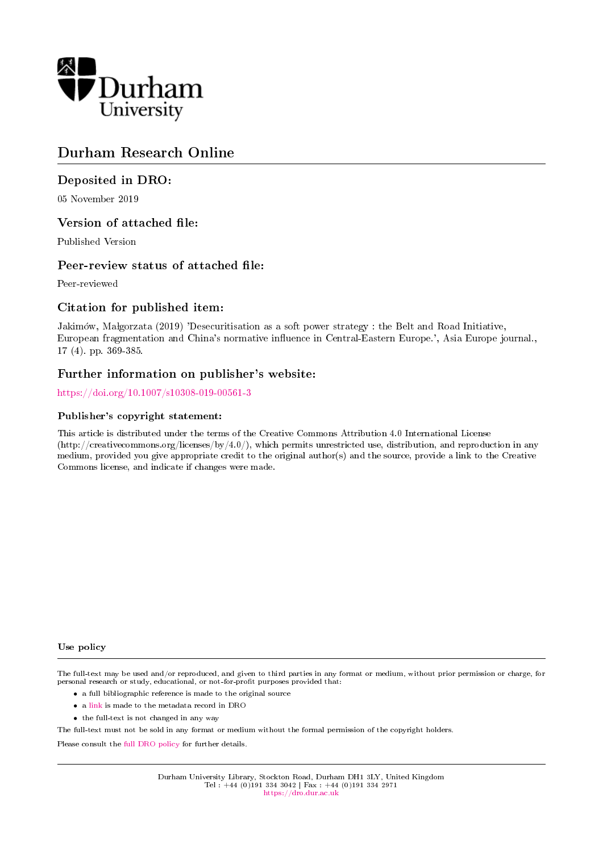

# Durham Research Online

## Deposited in DRO:

05 November 2019

## Version of attached file:

Published Version

## Peer-review status of attached file:

Peer-reviewed

## Citation for published item:

Jakimów, Małgorzata (2019) 'Desecuritisation as a soft power strategy : the Belt and Road Initiative, European fragmentation and China's normative influence in Central-Eastern Europe.', Asia Europe journal., 17 (4). pp. 369-385.

## Further information on publisher's website:

<https://doi.org/10.1007/s10308-019-00561-3>

## Publisher's copyright statement:

This article is distributed under the terms of the Creative Commons Attribution 4.0 International License (http://creativecommons.org/licenses/by/4.0/), which permits unrestricted use, distribution, and reproduction in any medium, provided you give appropriate credit to the original author(s) and the source, provide a link to the Creative Commons license, and indicate if changes were made.

## Use policy

The full-text may be used and/or reproduced, and given to third parties in any format or medium, without prior permission or charge, for personal research or study, educational, or not-for-profit purposes provided that:

- a full bibliographic reference is made to the original source
- a [link](http://dro.dur.ac.uk/29058/) is made to the metadata record in DRO
- the full-text is not changed in any way

The full-text must not be sold in any format or medium without the formal permission of the copyright holders.

Please consult the [full DRO policy](https://dro.dur.ac.uk/policies/usepolicy.pdf) for further details.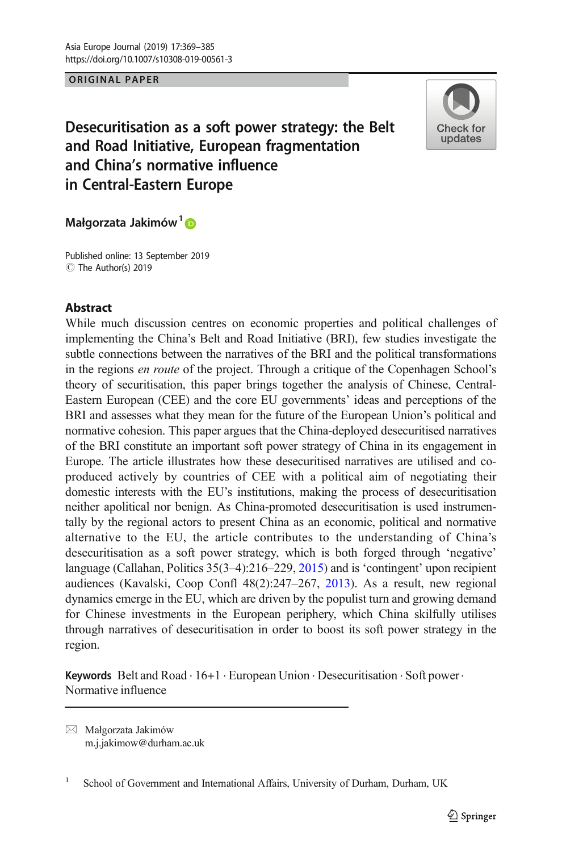#### **ORIGINAL PAPER** ORIGINAL PAPER



Desecuritisation as a soft power strategy: the Belt and Road Initiative, European fragmentation and China's normative influence in Central-Eastern Europe

## Małgorzata Jakimów<sup>1</sup> D

Published online: 13 September 2019  $\circledcirc$  The Author(s) 2019

## **Abstract**

While much discussion centres on economic properties and political challenges of implementing the China's Belt and Road Initiative (BRI), few studies investigate the subtle connections between the narratives of the BRI and the political transformations in the regions en route of the project. Through a critique of the Copenhagen School's theory of securitisation, this paper brings together the analysis of Chinese, Central-Eastern European (CEE) and the core EU governments' ideas and perceptions of the BRI and assesses what they mean for the future of the European Union's political and normative cohesion. This paper argues that the China-deployed desecuritised narratives of the BRI constitute an important soft power strategy of China in its engagement in Europe. The article illustrates how these desecuritised narratives are utilised and coproduced actively by countries of CEE with a political aim of negotiating their domestic interests with the EU's institutions, making the process of desecuritisation neither apolitical nor benign. As China-promoted desecuritisation is used instrumentally by the regional actors to present China as an economic, political and normative alternative to the EU, the article contributes to the understanding of China's desecuritisation as a soft power strategy, which is both forged through 'negative' language (Callahan, Politics 35(3-4):216–229, 2015) and is 'contingent' upon recipient audiences (Kavalski, Coop Confl 48(2):247–267, 2013). As a result, new regional dynamics emerge in the EU, which are driven by the populist turn and growing demand for Chinese investments in the European periphery, which China skilfully utilises through narratives of desecuritisation in order to boost its soft power strategy in the region.

Keywords Belt and Road  $\cdot 16+1 \cdot$  European Union  $\cdot$  Desecuritisation  $\cdot$  Soft power $\cdot$ Normative influence

 $\boxtimes$  Małgorzata Jakimów [m.j.jakimow@durham.ac.uk](mailto:m.j.jakimow@durham.ac.uk)

<sup>&</sup>lt;sup>1</sup> School of Government and International Affairs, University of Durham, Durham, UK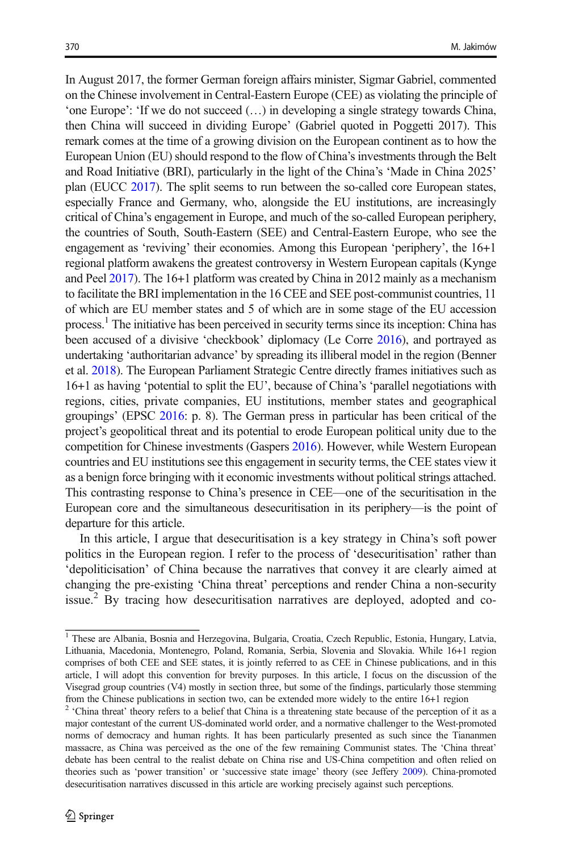In August 2017, the former German foreign affairs minister, Sigmar Gabriel, commented on the Chinese involvement in Central-Eastern Europe (CEE) as violating the principle of 'one Europe': 'If we do not succeed (…) in developing a single strategy towards China, then China will succeed in dividing Europe' (Gabriel quoted in Poggetti 2017). This remark comes at the time of a growing division on the European continent as to how the European Union (EU) should respond to the flow of China's investments through the Belt and Road Initiative (BRI), particularly in the light of the China's 'Made in China 2025' plan (EUCC 2017). The split seems to run between the so-called core European states, especially France and Germany, who, alongside the EU institutions, are increasingly critical of China's engagement in Europe, and much of the so-called European periphery, the countries of South, South-Eastern (SEE) and Central-Eastern Europe, who see the engagement as 'reviving' their economies. Among this European 'periphery', the 16+1 regional platform awakens the greatest controversy in Western European capitals (Kynge and Peel 2017). The 16+1 platform was created by China in 2012 mainly as a mechanism to facilitate the BRI implementation in the 16 CEE and SEE post-communist countries, 11 of which are EU member states and 5 of which are in some stage of the EU accession process.<sup>1</sup> The initiative has been perceived in security terms since its inception: China has been accused of a divisive 'checkbook' diplomacy (Le Corre 2016), and portrayed as undertaking 'authoritarian advance' by spreading its illiberal model in the region (Benner et al. 2018). The European Parliament Strategic Centre directly frames initiatives such as 16+1 as having 'potential to split the EU', because of China's 'parallel negotiations with regions, cities, private companies, EU institutions, member states and geographical groupings' (EPSC 2016: p. 8). The German press in particular has been critical of the project's geopolitical threat and its potential to erode European political unity due to the competition for Chinese investments (Gaspers 2016). However, while Western European countries and EU institutions see this engagement in security terms, the CEE states view it as a benign force bringing with it economic investments without political strings attached. This contrasting response to China's presence in CEE—one of the securitisation in the European core and the simultaneous desecuritisation in its periphery—is the point of departure for this article.

In this article, I argue that desecuritisation is a key strategy in China's soft power politics in the European region. I refer to the process of 'desecuritisation' rather than 'depoliticisation' of China because the narratives that convey it are clearly aimed at changing the pre-existing 'China threat' perceptions and render China a non-security issue.<sup>2</sup> By tracing how desecuritisation narratives are deployed, adopted and co-

<sup>&</sup>lt;sup>1</sup> These are Albania, Bosnia and Herzegovina, Bulgaria, Croatia, Czech Republic, Estonia, Hungary, Latvia, Lithuania, Macedonia, Montenegro, Poland, Romania, Serbia, Slovenia and Slovakia. While 16+1 region comprises of both CEE and SEE states, it is jointly referred to as CEE in Chinese publications, and in this article, I will adopt this convention for brevity purposes. In this article, I focus on the discussion of the Visegrad group countries (V4) mostly in section three, but some of the findings, particularly those stemming from the Chinese publications in section two, can be extended more widely to the entire 16+1 region

<sup>&</sup>lt;sup>2</sup> 'China threat' theory refers to a belief that China is a threatening state because of the perception of it as a major contestant of the current US-dominated world order, and a normative challenger to the West-promoted norms of democracy and human rights. It has been particularly presented as such since the Tiananmen massacre, as China was perceived as the one of the few remaining Communist states. The 'China threat' debate has been central to the realist debate on China rise and US-China competition and often relied on theories such as 'power transition' or 'successive state image' theory (see Jeffery 2009). China-promoted desecuritisation narratives discussed in this article are working precisely against such perceptions.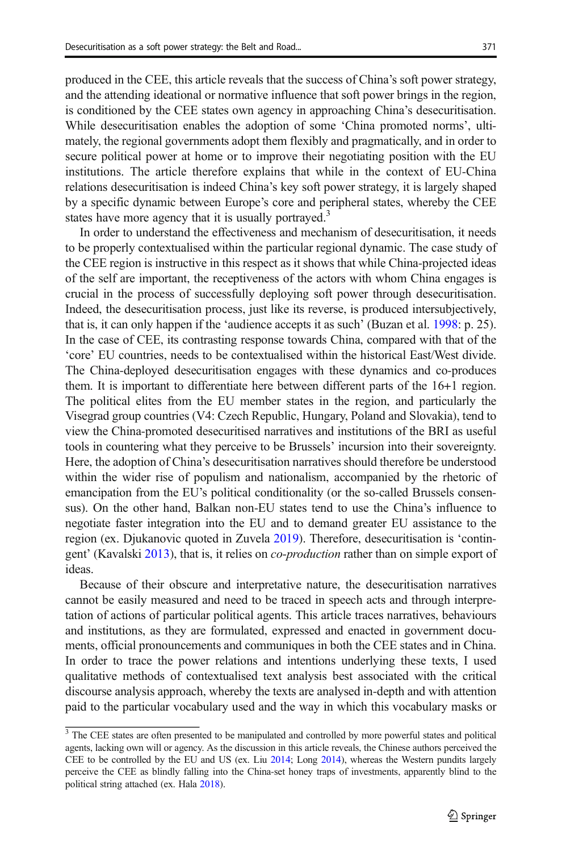produced in the CEE, this article reveals that the success of China's soft power strategy, and the attending ideational or normative influence that soft power brings in the region, is conditioned by the CEE states own agency in approaching China's desecuritisation. While desecuritisation enables the adoption of some 'China promoted norms', ultimately, the regional governments adopt them flexibly and pragmatically, and in order to secure political power at home or to improve their negotiating position with the EU institutions. The article therefore explains that while in the context of EU-China relations desecuritisation is indeed China's key soft power strategy, it is largely shaped by a specific dynamic between Europe's core and peripheral states, whereby the CEE states have more agency that it is usually portrayed.<sup>3</sup>

In order to understand the effectiveness and mechanism of desecuritisation, it needs to be properly contextualised within the particular regional dynamic. The case study of the CEE region is instructive in this respect as it shows that while China-projected ideas of the self are important, the receptiveness of the actors with whom China engages is crucial in the process of successfully deploying soft power through desecuritisation. Indeed, the desecuritisation process, just like its reverse, is produced intersubjectively, that is, it can only happen if the 'audience accepts it as such' (Buzan et al. 1998: p. 25). In the case of CEE, its contrasting response towards China, compared with that of the 'core' EU countries, needs to be contextualised within the historical East/West divide. The China-deployed desecuritisation engages with these dynamics and co-produces them. It is important to differentiate here between different parts of the 16+1 region. The political elites from the EU member states in the region, and particularly the Visegrad group countries (V4: Czech Republic, Hungary, Poland and Slovakia), tend to view the China-promoted desecuritised narratives and institutions of the BRI as useful tools in countering what they perceive to be Brussels' incursion into their sovereignty. Here, the adoption of China's desecuritisation narratives should therefore be understood within the wider rise of populism and nationalism, accompanied by the rhetoric of emancipation from the EU's political conditionality (or the so-called Brussels consensus). On the other hand, Balkan non-EU states tend to use the China's influence to negotiate faster integration into the EU and to demand greater EU assistance to the region (ex. Djukanovic quoted in Zuvela 2019). Therefore, desecuritisation is 'contingent' (Kavalski 2013), that is, it relies on co-production rather than on simple export of ideas.

Because of their obscure and interpretative nature, the desecuritisation narratives cannot be easily measured and need to be traced in speech acts and through interpretation of actions of particular political agents. This article traces narratives, behaviours and institutions, as they are formulated, expressed and enacted in government documents, official pronouncements and communiques in both the CEE states and in China. In order to trace the power relations and intentions underlying these texts, I used qualitative methods of contextualised text analysis best associated with the critical discourse analysis approach, whereby the texts are analysed in-depth and with attention paid to the particular vocabulary used and the way in which this vocabulary masks or

 $\frac{3}{3}$  The CEE states are often presented to be manipulated and controlled by more powerful states and political agents, lacking own will or agency. As the discussion in this article reveals, the Chinese authors perceived the CEE to be controlled by the EU and US (ex. Liu 2014; Long 2014), whereas the Western pundits largely perceive the CEE as blindly falling into the China-set honey traps of investments, apparently blind to the political string attached (ex. Hala 2018).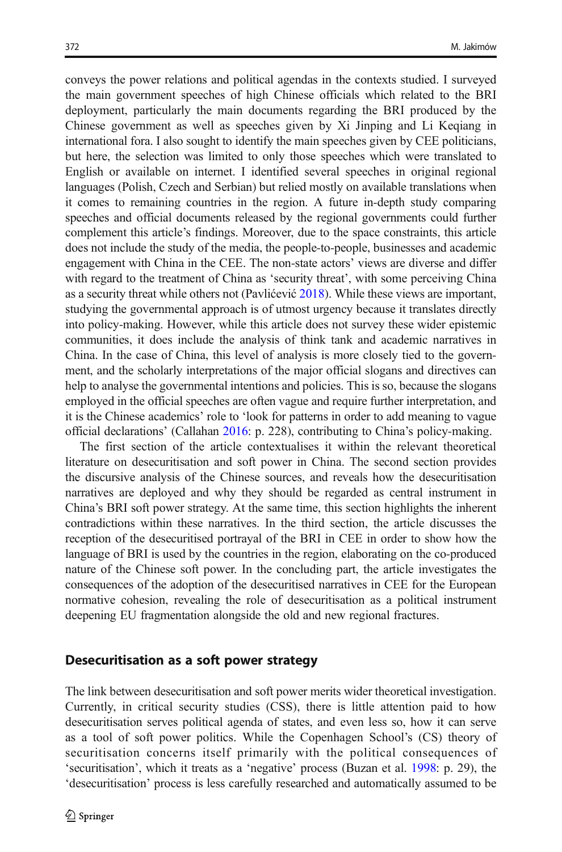conveys the power relations and political agendas in the contexts studied. I surveyed the main government speeches of high Chinese officials which related to the BRI deployment, particularly the main documents regarding the BRI produced by the Chinese government as well as speeches given by Xi Jinping and Li Keqiang in international fora. I also sought to identify the main speeches given by CEE politicians, but here, the selection was limited to only those speeches which were translated to English or available on internet. I identified several speeches in original regional languages (Polish, Czech and Serbian) but relied mostly on available translations when it comes to remaining countries in the region. A future in-depth study comparing speeches and official documents released by the regional governments could further complement this article's findings. Moreover, due to the space constraints, this article does not include the study of the media, the people-to-people, businesses and academic engagement with China in the CEE. The non-state actors' views are diverse and differ with regard to the treatment of China as 'security threat', with some perceiving China as a security threat while others not (Pavlićević 2018). While these views are important, studying the governmental approach is of utmost urgency because it translates directly into policy-making. However, while this article does not survey these wider epistemic communities, it does include the analysis of think tank and academic narratives in China. In the case of China, this level of analysis is more closely tied to the government, and the scholarly interpretations of the major official slogans and directives can help to analyse the governmental intentions and policies. This is so, because the slogans employed in the official speeches are often vague and require further interpretation, and it is the Chinese academics' role to 'look for patterns in order to add meaning to vague official declarations' (Callahan 2016: p. 228), contributing to China's policy-making.

The first section of the article contextualises it within the relevant theoretical literature on desecuritisation and soft power in China. The second section provides the discursive analysis of the Chinese sources, and reveals how the desecuritisation narratives are deployed and why they should be regarded as central instrument in China's BRI soft power strategy. At the same time, this section highlights the inherent contradictions within these narratives. In the third section, the article discusses the reception of the desecuritised portrayal of the BRI in CEE in order to show how the language of BRI is used by the countries in the region, elaborating on the co-produced nature of the Chinese soft power. In the concluding part, the article investigates the consequences of the adoption of the desecuritised narratives in CEE for the European normative cohesion, revealing the role of desecuritisation as a political instrument deepening EU fragmentation alongside the old and new regional fractures.

### Desecuritisation as a soft power strategy

The link between desecuritisation and soft power merits wider theoretical investigation. Currently, in critical security studies (CSS), there is little attention paid to how desecuritisation serves political agenda of states, and even less so, how it can serve as a tool of soft power politics. While the Copenhagen School's (CS) theory of securitisation concerns itself primarily with the political consequences of 'securitisation', which it treats as a 'negative' process (Buzan et al. 1998: p. 29), the 'desecuritisation' process is less carefully researched and automatically assumed to be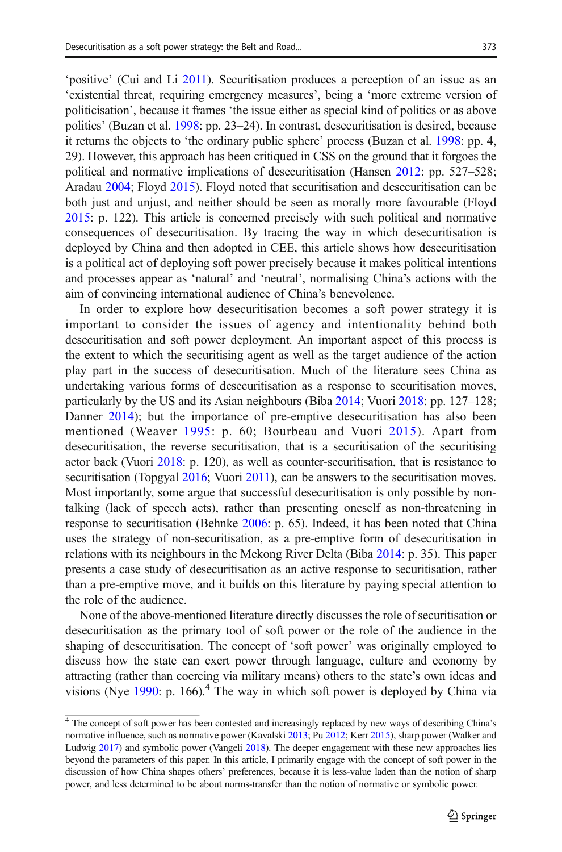'positive' (Cui and Li 2011). Securitisation produces a perception of an issue as an 'existential threat, requiring emergency measures', being a 'more extreme version of politicisation', because it frames 'the issue either as special kind of politics or as above politics' (Buzan et al. 1998: pp. 23–24). In contrast, desecuritisation is desired, because it returns the objects to 'the ordinary public sphere' process (Buzan et al. 1998: pp. 4, 29). However, this approach has been critiqued in CSS on the ground that it forgoes the political and normative implications of desecuritisation (Hansen 2012: pp. 527–528; Aradau 2004; Floyd 2015). Floyd noted that securitisation and desecuritisation can be both just and unjust, and neither should be seen as morally more favourable (Floyd 2015: p. 122). This article is concerned precisely with such political and normative consequences of desecuritisation. By tracing the way in which desecuritisation is deployed by China and then adopted in CEE, this article shows how desecuritisation is a political act of deploying soft power precisely because it makes political intentions and processes appear as 'natural' and 'neutral', normalising China's actions with the aim of convincing international audience of China's benevolence.

In order to explore how desecuritisation becomes a soft power strategy it is important to consider the issues of agency and intentionality behind both desecuritisation and soft power deployment. An important aspect of this process is the extent to which the securitising agent as well as the target audience of the action play part in the success of desecuritisation. Much of the literature sees China as undertaking various forms of desecuritisation as a response to securitisation moves, particularly by the US and its Asian neighbours (Biba 2014; Vuori 2018: pp. 127–128; Danner 2014); but the importance of pre-emptive desecuritisation has also been mentioned (Weaver 1995: p. 60; Bourbeau and Vuori 2015). Apart from desecuritisation, the reverse securitisation, that is a securitisation of the securitising actor back (Vuori 2018: p. 120), as well as counter-securitisation, that is resistance to securitisation (Topgyal 2016; Vuori 2011), can be answers to the securitisation moves. Most importantly, some argue that successful desecuritisation is only possible by nontalking (lack of speech acts), rather than presenting oneself as non-threatening in response to securitisation (Behnke 2006: p. 65). Indeed, it has been noted that China uses the strategy of non-securitisation, as a pre-emptive form of desecuritisation in relations with its neighbours in the Mekong River Delta (Biba 2014: p. 35). This paper presents a case study of desecuritisation as an active response to securitisation, rather than a pre-emptive move, and it builds on this literature by paying special attention to the role of the audience.

None of the above-mentioned literature directly discusses the role of securitisation or desecuritisation as the primary tool of soft power or the role of the audience in the shaping of desecuritisation. The concept of 'soft power' was originally employed to discuss how the state can exert power through language, culture and economy by attracting (rather than coercing via military means) others to the state's own ideas and visions (Nye  $1990$ : p. 166).<sup>4</sup> The way in which soft power is deployed by China via

<sup>&</sup>lt;sup>4</sup> The concept of soft power has been contested and increasingly replaced by new ways of describing China's normative influence, such as normative power (Kavalski 2013; Pu 2012; Kerr 2015), sharp power (Walker and Ludwig 2017) and symbolic power (Vangeli 2018). The deeper engagement with these new approaches lies beyond the parameters of this paper. In this article, I primarily engage with the concept of soft power in the discussion of how China shapes others' preferences, because it is less-value laden than the notion of sharp power, and less determined to be about norms-transfer than the notion of normative or symbolic power.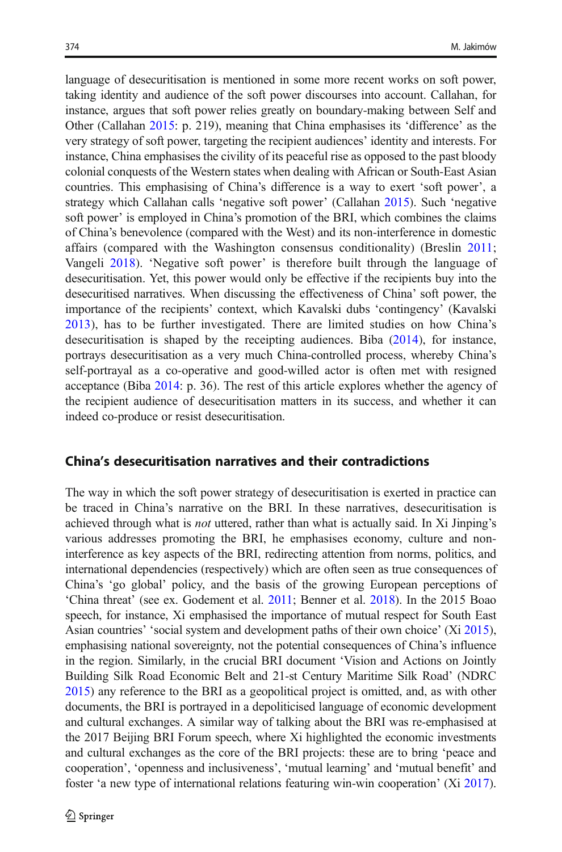language of desecuritisation is mentioned in some more recent works on soft power, taking identity and audience of the soft power discourses into account. Callahan, for instance, argues that soft power relies greatly on boundary-making between Self and Other (Callahan 2015: p. 219), meaning that China emphasises its 'difference' as the very strategy of soft power, targeting the recipient audiences' identity and interests. For instance, China emphasises the civility of its peaceful rise as opposed to the past bloody colonial conquests of the Western states when dealing with African or South-East Asian countries. This emphasising of China's difference is a way to exert 'soft power', a strategy which Callahan calls 'negative soft power' (Callahan 2015). Such 'negative soft power' is employed in China's promotion of the BRI, which combines the claims of China's benevolence (compared with the West) and its non-interference in domestic affairs (compared with the Washington consensus conditionality) (Breslin 2011; Vangeli 2018). 'Negative soft power' is therefore built through the language of desecuritisation. Yet, this power would only be effective if the recipients buy into the desecuritised narratives. When discussing the effectiveness of China' soft power, the importance of the recipients' context, which Kavalski dubs 'contingency' (Kavalski 2013), has to be further investigated. There are limited studies on how China's desecuritisation is shaped by the receipting audiences. Biba (2014), for instance, portrays desecuritisation as a very much China-controlled process, whereby China's self-portrayal as a co-operative and good-willed actor is often met with resigned acceptance (Biba 2014: p. 36). The rest of this article explores whether the agency of the recipient audience of desecuritisation matters in its success, and whether it can indeed co-produce or resist desecuritisation.

### China's desecuritisation narratives and their contradictions

The way in which the soft power strategy of desecuritisation is exerted in practice can be traced in China's narrative on the BRI. In these narratives, desecuritisation is achieved through what is not uttered, rather than what is actually said. In Xi Jinping's various addresses promoting the BRI, he emphasises economy, culture and noninterference as key aspects of the BRI, redirecting attention from norms, politics, and international dependencies (respectively) which are often seen as true consequences of China's 'go global' policy, and the basis of the growing European perceptions of 'China threat' (see ex. Godement et al. 2011; Benner et al. 2018). In the 2015 Boao speech, for instance, Xi emphasised the importance of mutual respect for South East Asian countries' 'social system and development paths of their own choice' (Xi 2015), emphasising national sovereignty, not the potential consequences of China's influence in the region. Similarly, in the crucial BRI document 'Vision and Actions on Jointly Building Silk Road Economic Belt and 21-st Century Maritime Silk Road' (NDRC 2015) any reference to the BRI as a geopolitical project is omitted, and, as with other documents, the BRI is portrayed in a depoliticised language of economic development and cultural exchanges. A similar way of talking about the BRI was re-emphasised at the 2017 Beijing BRI Forum speech, where Xi highlighted the economic investments and cultural exchanges as the core of the BRI projects: these are to bring 'peace and cooperation', 'openness and inclusiveness', 'mutual learning' and 'mutual benefit' and foster 'a new type of international relations featuring win-win cooperation' (Xi 2017).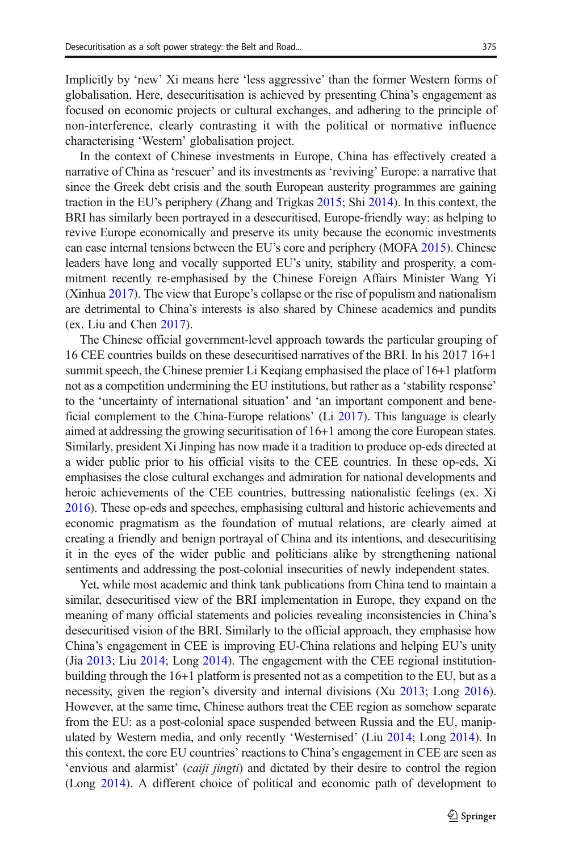Implicitly by 'new' Xi means here 'less aggressive' than the former Western forms of globalisation. Here, desecuritisation is achieved by presenting China's engagement as focused on economic projects or cultural exchanges, and adhering to the principle of non-interference, clearly contrasting it with the political or normative influence characterising 'Western' globalisation project.

In the context of Chinese investments in Europe, China has effectively created a narrative of China as 'rescuer' and its investments as 'reviving' Europe: a narrative that since the Greek debt crisis and the south European austerity programmes are gaining traction in the EU's periphery (Zhang and Trigkas 2015; Shi 2014). In this context, the BRI has similarly been portrayed in a desecuritised, Europe-friendly way: as helping to revive Europe economically and preserve its unity because the economic investments can ease internal tensions between the EU's core and periphery (MOFA 2015). Chinese leaders have long and vocally supported EU's unity, stability and prosperity, a commitment recently re-emphasised by the Chinese Foreign Affairs Minister Wang Yi (Xinhua 2017). The view that Europe's collapse or the rise of populism and nationalism are detrimental to China's interests is also shared by Chinese academics and pundits (ex. Liu and Chen 2017).

The Chinese official government-level approach towards the particular grouping of 16 CEE countries builds on these desecuritised narratives of the BRI. In his 2017 16+1 summit speech, the Chinese premier Li Keqiang emphasised the place of 16+1 platform not as a competition undermining the EU institutions, but rather as a 'stability response' to the 'uncertainty of international situation' and 'an important component and beneficial complement to the China-Europe relations' (Li 2017). This language is clearly aimed at addressing the growing securitisation of 16+1 among the core European states. Similarly, president Xi Jinping has now made it a tradition to produce op-eds directed at a wider public prior to his official visits to the CEE countries. In these op-eds, Xi emphasises the close cultural exchanges and admiration for national developments and heroic achievements of the CEE countries, buttressing nationalistic feelings (ex. Xi 2016). These op-eds and speeches, emphasising cultural and historic achievements and economic pragmatism as the foundation of mutual relations, are clearly aimed at creating a friendly and benign portrayal of China and its intentions, and desecuritising it in the eyes of the wider public and politicians alike by strengthening national sentiments and addressing the post-colonial insecurities of newly independent states.

Yet, while most academic and think tank publications from China tend to maintain a similar, desecuritised view of the BRI implementation in Europe, they expand on the meaning of many official statements and policies revealing inconsistencies in China's desecuritised vision of the BRI. Similarly to the official approach, they emphasise how China's engagement in CEE is improving EU-China relations and helping EU's unity (Jia 2013; Liu 2014; Long 2014). The engagement with the CEE regional institutionbuilding through the 16+1 platform is presented not as a competition to the EU, but as a necessity, given the region's diversity and internal divisions (Xu 2013; Long 2016). However, at the same time, Chinese authors treat the CEE region as somehow separate from the EU: as a post-colonial space suspended between Russia and the EU, manipulated by Western media, and only recently 'Westernised' (Liu 2014; Long 2014). In this context, the core EU countries' reactions to China's engagement in CEE are seen as 'envious and alarmist' (caiji jingti) and dictated by their desire to control the region (Long 2014). A different choice of political and economic path of development to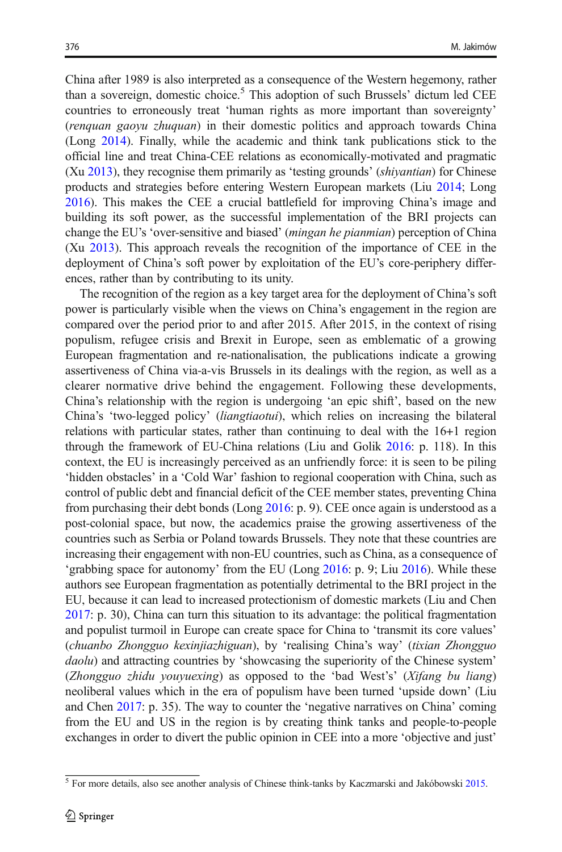China after 1989 is also interpreted as a consequence of the Western hegemony, rather than a sovereign, domestic choice.<sup>5</sup> This adoption of such Brussels' dictum led CEE countries to erroneously treat 'human rights as more important than sovereignty' (renquan gaoyu zhuquan) in their domestic politics and approach towards China (Long 2014). Finally, while the academic and think tank publications stick to the official line and treat China-CEE relations as economically-motivated and pragmatic (Xu 2013), they recognise them primarily as 'testing grounds' (shiyantian) for Chinese products and strategies before entering Western European markets (Liu 2014; Long 2016). This makes the CEE a crucial battlefield for improving China's image and building its soft power, as the successful implementation of the BRI projects can change the EU's 'over-sensitive and biased' (mingan he pianmian) perception of China (Xu 2013). This approach reveals the recognition of the importance of CEE in the deployment of China's soft power by exploitation of the EU's core-periphery differences, rather than by contributing to its unity.

The recognition of the region as a key target area for the deployment of China's soft power is particularly visible when the views on China's engagement in the region are compared over the period prior to and after 2015. After 2015, in the context of rising populism, refugee crisis and Brexit in Europe, seen as emblematic of a growing European fragmentation and re-nationalisation, the publications indicate a growing assertiveness of China via-a-vis Brussels in its dealings with the region, as well as a clearer normative drive behind the engagement. Following these developments, China's relationship with the region is undergoing 'an epic shift', based on the new China's 'two-legged policy' (liangtiaotui), which relies on increasing the bilateral relations with particular states, rather than continuing to deal with the 16+1 region through the framework of EU-China relations (Liu and Golik 2016: p. 118). In this context, the EU is increasingly perceived as an unfriendly force: it is seen to be piling 'hidden obstacles' in a 'Cold War' fashion to regional cooperation with China, such as control of public debt and financial deficit of the CEE member states, preventing China from purchasing their debt bonds (Long 2016: p. 9). CEE once again is understood as a post-colonial space, but now, the academics praise the growing assertiveness of the countries such as Serbia or Poland towards Brussels. They note that these countries are increasing their engagement with non-EU countries, such as China, as a consequence of 'grabbing space for autonomy' from the EU (Long 2016: p. 9; Liu 2016). While these authors see European fragmentation as potentially detrimental to the BRI project in the EU, because it can lead to increased protectionism of domestic markets (Liu and Chen 2017: p. 30), China can turn this situation to its advantage: the political fragmentation and populist turmoil in Europe can create space for China to 'transmit its core values' (chuanbo Zhongguo kexinjiazhiguan), by 'realising China's way' (tixian Zhongguo daolu) and attracting countries by 'showcasing the superiority of the Chinese system' (Zhongguo zhidu youyuexing) as opposed to the 'bad West's' (Xifang bu liang) neoliberal values which in the era of populism have been turned 'upside down' (Liu and Chen 2017: p. 35). The way to counter the 'negative narratives on China' coming from the EU and US in the region is by creating think tanks and people-to-people exchanges in order to divert the public opinion in CEE into a more 'objective and just'

<sup>5</sup> For more details, also see another analysis of Chinese think-tanks by Kaczmarski and Jakóbowski 2015.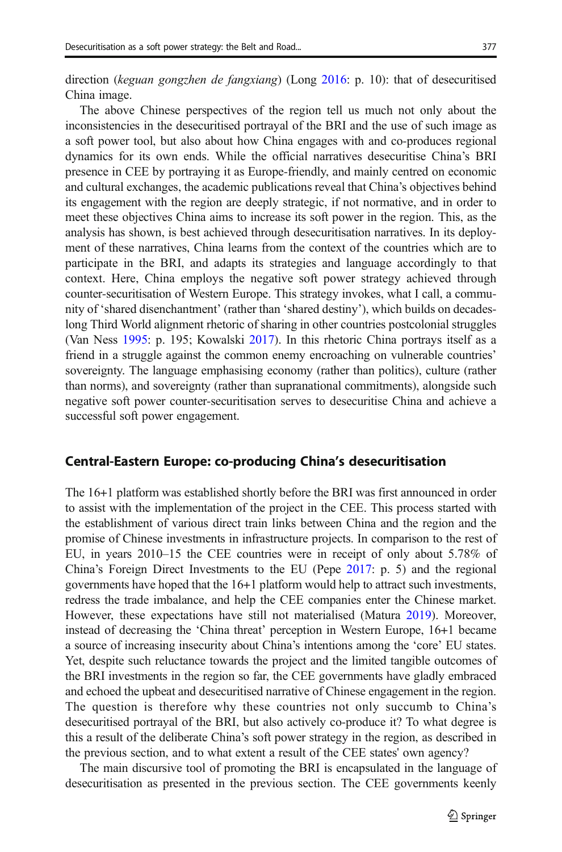direction (keguan gongzhen de fangxiang) (Long 2016: p. 10): that of desecuritised China image.

The above Chinese perspectives of the region tell us much not only about the inconsistencies in the desecuritised portrayal of the BRI and the use of such image as a soft power tool, but also about how China engages with and co-produces regional dynamics for its own ends. While the official narratives desecuritise China's BRI presence in CEE by portraying it as Europe-friendly, and mainly centred on economic and cultural exchanges, the academic publications reveal that China's objectives behind its engagement with the region are deeply strategic, if not normative, and in order to meet these objectives China aims to increase its soft power in the region. This, as the analysis has shown, is best achieved through desecuritisation narratives. In its deployment of these narratives, China learns from the context of the countries which are to participate in the BRI, and adapts its strategies and language accordingly to that context. Here, China employs the negative soft power strategy achieved through counter-securitisation of Western Europe. This strategy invokes, what I call, a community of 'shared disenchantment' (rather than 'shared destiny'), which builds on decadeslong Third World alignment rhetoric of sharing in other countries postcolonial struggles (Van Ness 1995: p. 195; Kowalski 2017). In this rhetoric China portrays itself as a friend in a struggle against the common enemy encroaching on vulnerable countries' sovereignty. The language emphasising economy (rather than politics), culture (rather than norms), and sovereignty (rather than supranational commitments), alongside such negative soft power counter-securitisation serves to desecuritise China and achieve a successful soft power engagement.

### Central-Eastern Europe: co-producing China's desecuritisation

The 16+1 platform was established shortly before the BRI was first announced in order to assist with the implementation of the project in the CEE. This process started with the establishment of various direct train links between China and the region and the promise of Chinese investments in infrastructure projects. In comparison to the rest of EU, in years 2010–15 the CEE countries were in receipt of only about 5.78% of China's Foreign Direct Investments to the EU (Pepe 2017: p. 5) and the regional governments have hoped that the 16+1 platform would help to attract such investments, redress the trade imbalance, and help the CEE companies enter the Chinese market. However, these expectations have still not materialised (Matura 2019). Moreover, instead of decreasing the 'China threat' perception in Western Europe, 16+1 became a source of increasing insecurity about China's intentions among the 'core' EU states. Yet, despite such reluctance towards the project and the limited tangible outcomes of the BRI investments in the region so far, the CEE governments have gladly embraced and echoed the upbeat and desecuritised narrative of Chinese engagement in the region. The question is therefore why these countries not only succumb to China's desecuritised portrayal of the BRI, but also actively co-produce it? To what degree is this a result of the deliberate China's soft power strategy in the region, as described in the previous section, and to what extent a result of the CEE states' own agency?

The main discursive tool of promoting the BRI is encapsulated in the language of desecuritisation as presented in the previous section. The CEE governments keenly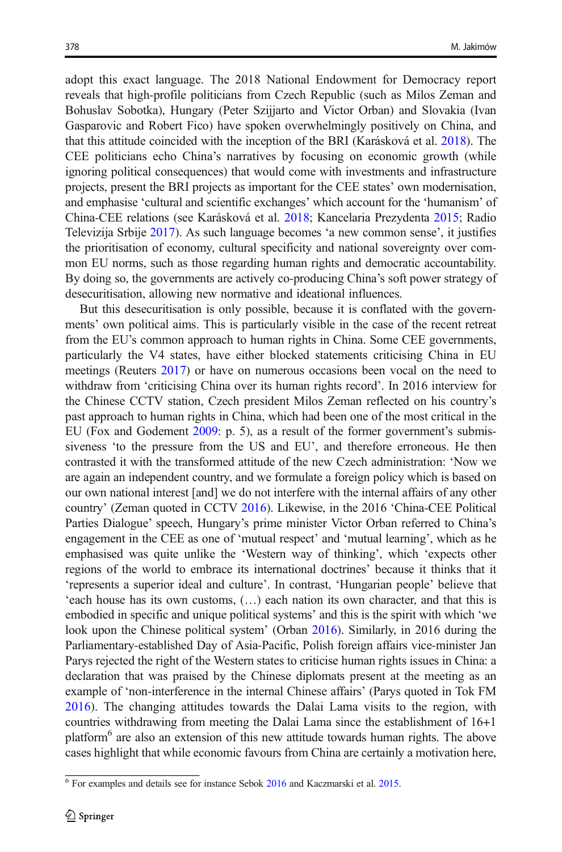adopt this exact language. The 2018 National Endowment for Democracy report reveals that high-profile politicians from Czech Republic (such as Milos Zeman and Bohuslav Sobotka), Hungary (Peter Szijjarto and Victor Orban) and Slovakia (Ivan Gasparovic and Robert Fico) have spoken overwhelmingly positively on China, and that this attitude coincided with the inception of the BRI (Karásková et al. 2018). The CEE politicians echo China's narratives by focusing on economic growth (while ignoring political consequences) that would come with investments and infrastructure projects, present the BRI projects as important for the CEE states' own modernisation, and emphasise 'cultural and scientific exchanges' which account for the 'humanism' of China-CEE relations (see Karásková et al. 2018; Kancelaria Prezydenta 2015; Radio Televizija Srbije 2017). As such language becomes 'a new common sense', it justifies the prioritisation of economy, cultural specificity and national sovereignty over common EU norms, such as those regarding human rights and democratic accountability. By doing so, the governments are actively co-producing China's soft power strategy of desecuritisation, allowing new normative and ideational influences.

But this desecuritisation is only possible, because it is conflated with the governments' own political aims. This is particularly visible in the case of the recent retreat from the EU's common approach to human rights in China. Some CEE governments, particularly the V4 states, have either blocked statements criticising China in EU meetings (Reuters 2017) or have on numerous occasions been vocal on the need to withdraw from 'criticising China over its human rights record'. In 2016 interview for the Chinese CCTV station, Czech president Milos Zeman reflected on his country's past approach to human rights in China, which had been one of the most critical in the EU (Fox and Godement 2009: p. 5), as a result of the former government's submissiveness 'to the pressure from the US and EU', and therefore erroneous. He then contrasted it with the transformed attitude of the new Czech administration: 'Now we are again an independent country, and we formulate a foreign policy which is based on our own national interest [and] we do not interfere with the internal affairs of any other country' (Zeman quoted in CCTV 2016). Likewise, in the 2016 'China-CEE Political Parties Dialogue' speech, Hungary's prime minister Victor Orban referred to China's engagement in the CEE as one of 'mutual respect' and 'mutual learning', which as he emphasised was quite unlike the 'Western way of thinking', which 'expects other regions of the world to embrace its international doctrines' because it thinks that it 'represents a superior ideal and culture'. In contrast, 'Hungarian people' believe that 'each house has its own customs, (…) each nation its own character, and that this is embodied in specific and unique political systems' and this is the spirit with which 'we look upon the Chinese political system' (Orban 2016). Similarly, in 2016 during the Parliamentary-established Day of Asia-Pacific, Polish foreign affairs vice-minister Jan Parys rejected the right of the Western states to criticise human rights issues in China: a declaration that was praised by the Chinese diplomats present at the meeting as an example of 'non-interference in the internal Chinese affairs' (Parys quoted in Tok FM 2016). The changing attitudes towards the Dalai Lama visits to the region, with countries withdrawing from meeting the Dalai Lama since the establishment of 16+1 platform<sup>6</sup> are also an extension of this new attitude towards human rights. The above cases highlight that while economic favours from China are certainly a motivation here,

 $6$  For examples and details see for instance Sebok  $2016$  and Kaczmarski et al.  $2015$ .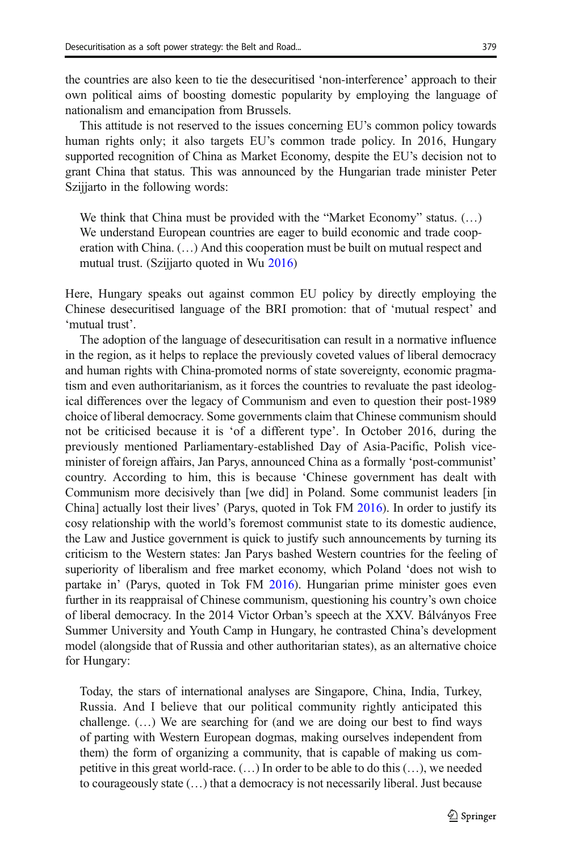the countries are also keen to tie the desecuritised 'non-interference' approach to their own political aims of boosting domestic popularity by employing the language of nationalism and emancipation from Brussels.

This attitude is not reserved to the issues concerning EU's common policy towards human rights only; it also targets EU's common trade policy. In 2016, Hungary supported recognition of China as Market Economy, despite the EU's decision not to grant China that status. This was announced by the Hungarian trade minister Peter Szijjarto in the following words:

We think that China must be provided with the "Market Economy" status. (…) We understand European countries are eager to build economic and trade cooperation with China. (…) And this cooperation must be built on mutual respect and mutual trust. (Szijjarto quoted in Wu 2016)

Here, Hungary speaks out against common EU policy by directly employing the Chinese desecuritised language of the BRI promotion: that of 'mutual respect' and 'mutual trust'.

The adoption of the language of desecuritisation can result in a normative influence in the region, as it helps to replace the previously coveted values of liberal democracy and human rights with China-promoted norms of state sovereignty, economic pragmatism and even authoritarianism, as it forces the countries to revaluate the past ideological differences over the legacy of Communism and even to question their post-1989 choice of liberal democracy. Some governments claim that Chinese communism should not be criticised because it is 'of a different type'. In October 2016, during the previously mentioned Parliamentary-established Day of Asia-Pacific, Polish viceminister of foreign affairs, Jan Parys, announced China as a formally 'post-communist' country. According to him, this is because 'Chinese government has dealt with Communism more decisively than [we did] in Poland. Some communist leaders [in China] actually lost their lives' (Parys, quoted in Tok FM 2016). In order to justify its cosy relationship with the world's foremost communist state to its domestic audience, the Law and Justice government is quick to justify such announcements by turning its criticism to the Western states: Jan Parys bashed Western countries for the feeling of superiority of liberalism and free market economy, which Poland 'does not wish to partake in' (Parys, quoted in Tok FM 2016). Hungarian prime minister goes even further in its reappraisal of Chinese communism, questioning his country's own choice of liberal democracy. In the 2014 Victor Orban's speech at the XXV. Bálványos Free Summer University and Youth Camp in Hungary, he contrasted China's development model (alongside that of Russia and other authoritarian states), as an alternative choice for Hungary:

Today, the stars of international analyses are Singapore, China, India, Turkey, Russia. And I believe that our political community rightly anticipated this challenge. (…) We are searching for (and we are doing our best to find ways of parting with Western European dogmas, making ourselves independent from them) the form of organizing a community, that is capable of making us competitive in this great world-race. (…) In order to be able to do this (…), we needed to courageously state (…) that a democracy is not necessarily liberal. Just because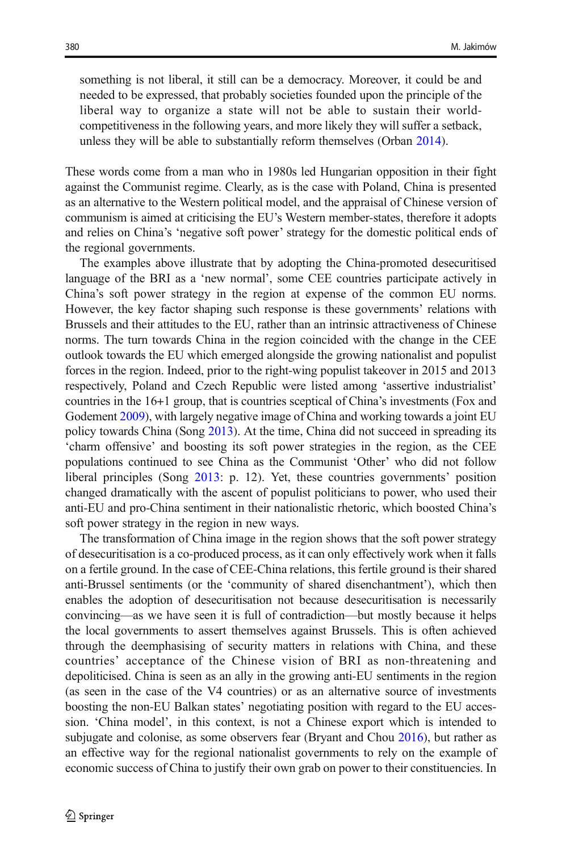something is not liberal, it still can be a democracy. Moreover, it could be and needed to be expressed, that probably societies founded upon the principle of the liberal way to organize a state will not be able to sustain their worldcompetitiveness in the following years, and more likely they will suffer a setback, unless they will be able to substantially reform themselves (Orban 2014).

These words come from a man who in 1980s led Hungarian opposition in their fight against the Communist regime. Clearly, as is the case with Poland, China is presented as an alternative to the Western political model, and the appraisal of Chinese version of communism is aimed at criticising the EU's Western member-states, therefore it adopts and relies on China's 'negative soft power' strategy for the domestic political ends of the regional governments.

The examples above illustrate that by adopting the China-promoted desecuritised language of the BRI as a 'new normal', some CEE countries participate actively in China's soft power strategy in the region at expense of the common EU norms. However, the key factor shaping such response is these governments' relations with Brussels and their attitudes to the EU, rather than an intrinsic attractiveness of Chinese norms. The turn towards China in the region coincided with the change in the CEE outlook towards the EU which emerged alongside the growing nationalist and populist forces in the region. Indeed, prior to the right-wing populist takeover in 2015 and 2013 respectively, Poland and Czech Republic were listed among 'assertive industrialist' countries in the 16+1 group, that is countries sceptical of China's investments (Fox and Godement 2009), with largely negative image of China and working towards a joint EU policy towards China (Song 2013). At the time, China did not succeed in spreading its 'charm offensive' and boosting its soft power strategies in the region, as the CEE populations continued to see China as the Communist 'Other' who did not follow liberal principles (Song 2013: p. 12). Yet, these countries governments' position changed dramatically with the ascent of populist politicians to power, who used their anti-EU and pro-China sentiment in their nationalistic rhetoric, which boosted China's soft power strategy in the region in new ways.

The transformation of China image in the region shows that the soft power strategy of desecuritisation is a co-produced process, as it can only effectively work when it falls on a fertile ground. In the case of CEE-China relations, this fertile ground is their shared anti-Brussel sentiments (or the 'community of shared disenchantment'), which then enables the adoption of desecuritisation not because desecuritisation is necessarily convincing—as we have seen it is full of contradiction—but mostly because it helps the local governments to assert themselves against Brussels. This is often achieved through the deemphasising of security matters in relations with China, and these countries' acceptance of the Chinese vision of BRI as non-threatening and depoliticised. China is seen as an ally in the growing anti-EU sentiments in the region (as seen in the case of the V4 countries) or as an alternative source of investments boosting the non-EU Balkan states' negotiating position with regard to the EU accession. 'China model', in this context, is not a Chinese export which is intended to subjugate and colonise, as some observers fear (Bryant and Chou 2016), but rather as an effective way for the regional nationalist governments to rely on the example of economic success of China to justify their own grab on power to their constituencies. In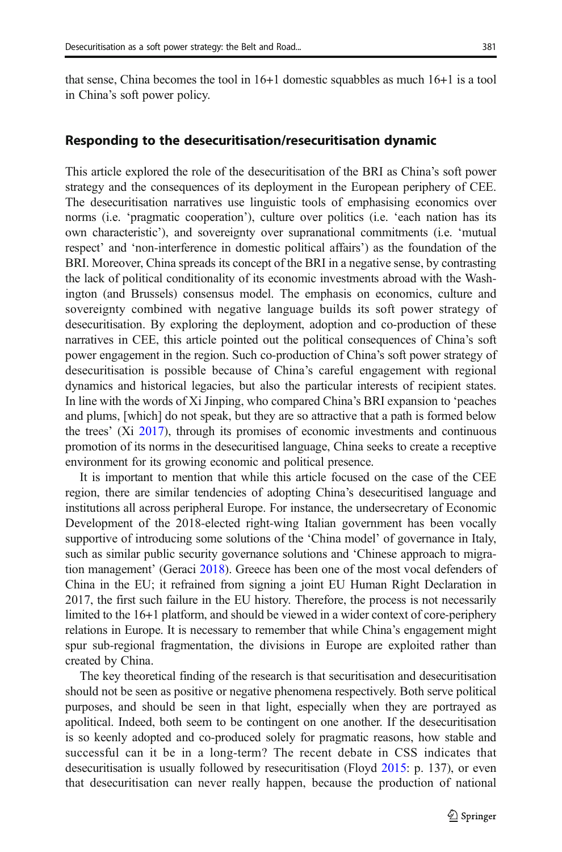that sense, China becomes the tool in 16+1 domestic squabbles as much 16+1 is a tool in China's soft power policy.

### Responding to the desecuritisation/resecuritisation dynamic

This article explored the role of the desecuritisation of the BRI as China's soft power strategy and the consequences of its deployment in the European periphery of CEE. The desecuritisation narratives use linguistic tools of emphasising economics over norms (i.e. 'pragmatic cooperation'), culture over politics (i.e. 'each nation has its own characteristic'), and sovereignty over supranational commitments (i.e. 'mutual respect' and 'non-interference in domestic political affairs') as the foundation of the BRI. Moreover, China spreads its concept of the BRI in a negative sense, by contrasting the lack of political conditionality of its economic investments abroad with the Washington (and Brussels) consensus model. The emphasis on economics, culture and sovereignty combined with negative language builds its soft power strategy of desecuritisation. By exploring the deployment, adoption and co-production of these narratives in CEE, this article pointed out the political consequences of China's soft power engagement in the region. Such co-production of China's soft power strategy of desecuritisation is possible because of China's careful engagement with regional dynamics and historical legacies, but also the particular interests of recipient states. In line with the words of Xi Jinping, who compared China's BRI expansion to 'peaches and plums, [which] do not speak, but they are so attractive that a path is formed below the trees' (Xi 2017), through its promises of economic investments and continuous promotion of its norms in the desecuritised language, China seeks to create a receptive environment for its growing economic and political presence.

It is important to mention that while this article focused on the case of the CEE region, there are similar tendencies of adopting China's desecuritised language and institutions all across peripheral Europe. For instance, the undersecretary of Economic Development of the 2018-elected right-wing Italian government has been vocally supportive of introducing some solutions of the 'China model' of governance in Italy, such as similar public security governance solutions and 'Chinese approach to migration management' (Geraci 2018). Greece has been one of the most vocal defenders of China in the EU; it refrained from signing a joint EU Human Right Declaration in 2017, the first such failure in the EU history. Therefore, the process is not necessarily limited to the 16+1 platform, and should be viewed in a wider context of core-periphery relations in Europe. It is necessary to remember that while China's engagement might spur sub-regional fragmentation, the divisions in Europe are exploited rather than created by China.

The key theoretical finding of the research is that securitisation and desecuritisation should not be seen as positive or negative phenomena respectively. Both serve political purposes, and should be seen in that light, especially when they are portrayed as apolitical. Indeed, both seem to be contingent on one another. If the desecuritisation is so keenly adopted and co-produced solely for pragmatic reasons, how stable and successful can it be in a long-term? The recent debate in CSS indicates that desecuritisation is usually followed by resecuritisation (Floyd 2015: p. 137), or even that desecuritisation can never really happen, because the production of national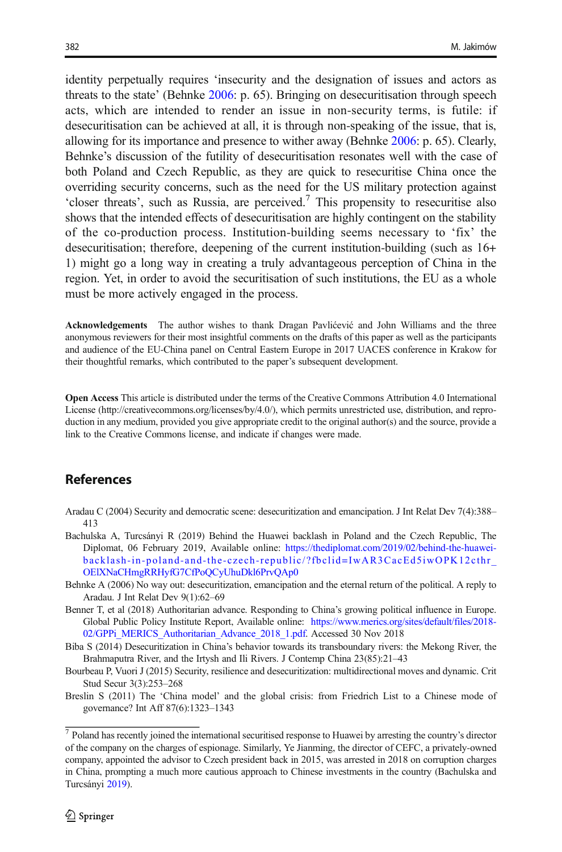identity perpetually requires 'insecurity and the designation of issues and actors as threats to the state' (Behnke 2006: p. 65). Bringing on desecuritisation through speech acts, which are intended to render an issue in non-security terms, is futile: if desecuritisation can be achieved at all, it is through non-speaking of the issue, that is, allowing for its importance and presence to wither away (Behnke 2006: p. 65). Clearly, Behnke's discussion of the futility of desecuritisation resonates well with the case of both Poland and Czech Republic, as they are quick to resecuritise China once the overriding security concerns, such as the need for the US military protection against  $\cdot$ closer threats', such as Russia, are perceived.<sup>7</sup> This propensity to resecuritise also shows that the intended effects of desecuritisation are highly contingent on the stability of the co-production process. Institution-building seems necessary to 'fix' the desecuritisation; therefore, deepening of the current institution-building (such as 16+ 1) might go a long way in creating a truly advantageous perception of China in the region. Yet, in order to avoid the securitisation of such institutions, the EU as a whole must be more actively engaged in the process.

Acknowledgements The author wishes to thank Dragan Pavlićević and John Williams and the three anonymous reviewers for their most insightful comments on the drafts of this paper as well as the participants and audience of the EU-China panel on Central Eastern Europe in 2017 UACES conference in Krakow for their thoughtful remarks, which contributed to the paper's subsequent development.

Open Access This article is distributed under the terms of the Creative Commons Attribution 4.0 International License (http://creativecommons.org/licenses/by/4.0/), which permits unrestricted use, distribution, and reproduction in any medium, provided you give appropriate credit to the original author(s) and the source, provide a link to the Creative Commons license, and indicate if changes were made.

## References

- Aradau C (2004) Security and democratic scene: desecuritization and emancipation. J Int Relat Dev 7(4):388– 413
- Bachulska A, Turcsányi R (2019) Behind the Huawei backlash in Poland and the Czech Republic, The Diplomat, 06 February 2019, Available online: [https://thediplomat.com/2019/02/behind-the-huawei](https://thediplomat.com/2019/02/behind-the-huawei-backlash-in-poland-and-the-czech-republic/?fbclid=IwAR3CacEd5iwOPK12cthr_OElXNaCHmgRRHyfG7CfPoQCyUhuDkl6PrvQAp0)[backlash-in-poland-and-the-czech-republic/?fbclid=IwAR3CacEd5iwOPK12cthr\\_](https://thediplomat.com/2019/02/behind-the-huawei-backlash-in-poland-and-the-czech-republic/?fbclid=IwAR3CacEd5iwOPK12cthr_OElXNaCHmgRRHyfG7CfPoQCyUhuDkl6PrvQAp0) [OElXNaCHmgRRHyfG7CfPoQCyUhuDkl6PrvQAp0](https://thediplomat.com/2019/02/behind-the-huawei-backlash-in-poland-and-the-czech-republic/?fbclid=IwAR3CacEd5iwOPK12cthr_OElXNaCHmgRRHyfG7CfPoQCyUhuDkl6PrvQAp0)
- Behnke A (2006) No way out: desecuritization, emancipation and the eternal return of the political. A reply to Aradau. J Int Relat Dev 9(1):62–69
- Benner T, et al (2018) Authoritarian advance. Responding to China's growing political influence in Europe. Global Public Policy Institute Report, Available online: [https://www.merics.org/sites/default/files/2018-](https://www.merics.org/sites/default/files/2018-02/GPPi_MERICS_Authoritarian_Advance_2018_1.pdf) [02/GPPi\\_MERICS\\_Authoritarian\\_Advance\\_2018\\_1.p](https://www.merics.org/sites/default/files/2018-02/GPPi_MERICS_Authoritarian_Advance_2018_1.pdf)df. Accessed 30 Nov 2018
- Biba S (2014) Desecuritization in China's behavior towards its transboundary rivers: the Mekong River, the Brahmaputra River, and the Irtysh and Ili Rivers. J Contemp China 23(85):21–43
- Bourbeau P, Vuori J (2015) Security, resilience and desecuritization: multidirectional moves and dynamic. Crit Stud Secur 3(3):253–268
- Breslin S (2011) The 'China model' and the global crisis: from Friedrich List to a Chinese mode of governance? Int Aff 87(6):1323–1343

 $\frac{7}{7}$  Poland has recently joined the international securitised response to Huawei by arresting the country's director of the company on the charges of espionage. Similarly, Ye Jianming, the director of CEFC, a privately-owned company, appointed the advisor to Czech president back in 2015, was arrested in 2018 on corruption charges in China, prompting a much more cautious approach to Chinese investments in the country (Bachulska and Turcsányi 2019).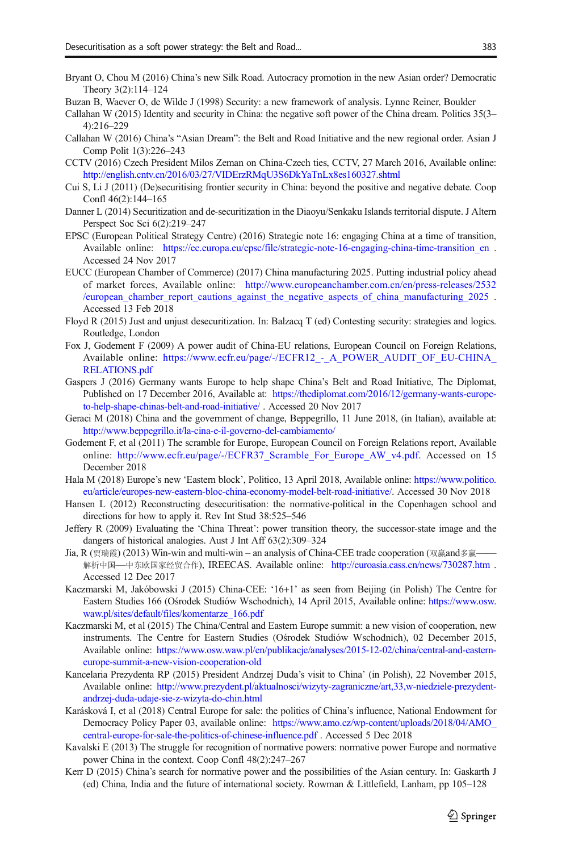- 
- Bryant O, Chou M (2016) China's new Silk Road. Autocracy promotion in the new Asian order? Democratic Theory 3(2):114–124

Buzan B, Waever O, de Wilde J (1998) Security: a new framework of analysis. Lynne Reiner, Boulder

- Callahan W (2015) Identity and security in China: the negative soft power of the China dream. Politics 35(3– 4):216–229
- Callahan W (2016) China's "Asian Dream": the Belt and Road Initiative and the new regional order. Asian J Comp Polit 1(3):226–243
- CCTV (2016) Czech President Milos Zeman on China-Czech ties, CCTV, 27 March 2016, Available online: <http://english.cntv.cn/2016/03/27/VIDErzRMqU3S6DkYaTnLx8es160327.shtml>
- Cui S, Li J (2011) (De)securitising frontier security in China: beyond the positive and negative debate. Coop Confl 46(2):144–165
- Danner L (2014) Securitization and de-securitization in the Diaoyu/Senkaku Islands territorial dispute. J Altern Perspect Soc Sci 6(2):219–247
- EPSC (European Political Strategy Centre) (2016) Strategic note 16: engaging China at a time of transition, Available online: [https://ec.europa.eu/epsc/file/strategic-note-16-engaging-china-time-transition](https://ec.europa.eu/epsc/file/strategic-note-16-engaging-china-time-transition_en) en . Accessed 24 Nov 2017
- EUCC (European Chamber of Commerce) ([2017\) China manufacturing 2025. Putting industrial policy ahead](http://www.europeanchamber.com.cn/en/press-releases/2532/european_chamber_report_cautions_against_the_negative_aspects_of_china_manufacturing_2025) of market forces, Available online: [http://www.europeanchamber.com.cn/en/press-releases](http://www.europeanchamber.com.cn/en/press-releases/2532/european_chamber_report_cautions_against_the_negative_aspects_of_china_manufacturing_2025)/2532 /european\_chamber\_report\_cautions\_against\_the\_negative\_aspects\_of\_china\_manufacturing\_2025 . Accessed 13 Feb 2018
- Floyd R (2015) Just and unjust desecuritization. In: Balzacq T (ed) Contesting security: strategies and logics. Routledge, London
- Fox [J, Godement F \(2](https://www.ecfr.eu/page/-/ECFR12_-_A_POWER_AUDIT_OF_EU-CHINA_RELATIONS.pdf)0[09\)](https://www.ecfr.eu/page/-/ECFR12_-_A_POWER_AUDIT_OF_EU-CHINA_RELATIONS.pdf) [A](https://www.ecfr.eu/page/-/ECFR12_-_A_POWER_AUDIT_OF_EU-CHINA_RELATIONS.pdf) [power](https://www.ecfr.eu/page/-/ECFR12_-_A_POWER_AUDIT_OF_EU-CHINA_RELATIONS.pdf) [audit](https://www.ecfr.eu/page/-/ECFR12_-_A_POWER_AUDIT_OF_EU-CHINA_RELATIONS.pdf) [of](https://www.ecfr.eu/page/-/ECFR12_-_A_POWER_AUDIT_OF_EU-CHINA_RELATIONS.pdf) [China-EU](https://www.ecfr.eu/page/-/ECFR12_-_A_POWER_AUDIT_OF_EU-CHINA_RELATIONS.pdf) [relations,](https://www.ecfr.eu/page/-/ECFR12_-_A_POWER_AUDIT_OF_EU-CHINA_RELATIONS.pdf) [European](https://www.ecfr.eu/page/-/ECFR12_-_A_POWER_AUDIT_OF_EU-CHINA_RELATIONS.pdf) [Council](https://www.ecfr.eu/page/-/ECFR12_-_A_POWER_AUDIT_OF_EU-CHINA_RELATIONS.pdf) [on](https://www.ecfr.eu/page/-/ECFR12_-_A_POWER_AUDIT_OF_EU-CHINA_RELATIONS.pdf) [Foreign](https://www.ecfr.eu/page/-/ECFR12_-_A_POWER_AUDIT_OF_EU-CHINA_RELATIONS.pdf) [Relations,](https://www.ecfr.eu/page/-/ECFR12_-_A_POWER_AUDIT_OF_EU-CHINA_RELATIONS.pdf) Available online: https://www.ecfr.eu/page/-/ECFR12\_-\_A\_POWER\_AUDIT\_OF\_EU-CHINA\_ RELATIONS.pdf
- Gaspers J (2016) Germany wants Europe to help shape China'[s](https://thediplomat.com/2016/12/germany-wants-europe-to-help-shape-chinas-belt-and-road-initiative/) [Belt](https://thediplomat.com/2016/12/germany-wants-europe-to-help-shape-chinas-belt-and-road-initiative/) [and](https://thediplomat.com/2016/12/germany-wants-europe-to-help-shape-chinas-belt-and-road-initiative/) [Road](https://thediplomat.com/2016/12/germany-wants-europe-to-help-shape-chinas-belt-and-road-initiative/) [Initiative,](https://thediplomat.com/2016/12/germany-wants-europe-to-help-shape-chinas-belt-and-road-initiative/) [The](https://thediplomat.com/2016/12/germany-wants-europe-to-help-shape-chinas-belt-and-road-initiative/) [Diplomat,](https://thediplomat.com/2016/12/germany-wants-europe-to-help-shape-chinas-belt-and-road-initiative/) [Published](https://thediplomat.com/2016/12/germany-wants-europe-to-help-shape-chinas-belt-and-road-initiative/) [on](https://thediplomat.com/2016/12/germany-wants-europe-to-help-shape-chinas-belt-and-road-initiative/) [17](https://thediplomat.com/2016/12/germany-wants-europe-to-help-shape-chinas-belt-and-road-initiative/) [December](https://thediplomat.com/2016/12/germany-wants-europe-to-help-shape-chinas-belt-and-road-initiative/) [2016,](https://thediplomat.com/2016/12/germany-wants-europe-to-help-shape-chinas-belt-and-road-initiative/) [Available](https://thediplomat.com/2016/12/germany-wants-europe-to-help-shape-chinas-belt-and-road-initiative/) [a](https://thediplomat.com/2016/12/germany-wants-europe-to-help-shape-chinas-belt-and-road-initiative/)t: https://thediplomat.com/2016/12/germany-wants-europeto-help-shape-chinas-belt-and-road-initiative/ . Accessed 20 Nov 2017
- Ger[aci](http://www.beppegrillo.it/la-cina-e-il-governo-del-cambiamento/) [M](http://www.beppegrillo.it/la-cina-e-il-governo-del-cambiamento/) [\(2018\)](http://www.beppegrillo.it/la-cina-e-il-governo-del-cambiamento/) [China](http://www.beppegrillo.it/la-cina-e-il-governo-del-cambiamento/) [and](http://www.beppegrillo.it/la-cina-e-il-governo-del-cambiamento/) [the](http://www.beppegrillo.it/la-cina-e-il-governo-del-cambiamento/) [government](http://www.beppegrillo.it/la-cina-e-il-governo-del-cambiamento/) [of](http://www.beppegrillo.it/la-cina-e-il-governo-del-cambiamento/) [change,](http://www.beppegrillo.it/la-cina-e-il-governo-del-cambiamento/) [Beppegrillo](http://www.beppegrillo.it/la-cina-e-il-governo-del-cambiamento/), 11 June 2018, (in Italian), available at: http://www.beppegrillo.it/la-cina-e-il-governo-del-cambiamento/
- Godement [F,](http://www.ecfr.eu/page/-/ECFR37_Scramble_For_Europe_AW_v4.pdf) [et](http://www.ecfr.eu/page/-/ECFR37_Scramble_For_Europe_AW_v4.pdf) [al](http://www.ecfr.eu/page/-/ECFR37_Scramble_For_Europe_AW_v4.pdf) [\(2011\)](http://www.ecfr.eu/page/-/ECFR37_Scramble_For_Europe_AW_v4.pdf) [The](http://www.ecfr.eu/page/-/ECFR37_Scramble_For_Europe_AW_v4.pdf) [scramble](http://www.ecfr.eu/page/-/ECFR37_Scramble_For_Europe_AW_v4.pdf) [for](http://www.ecfr.eu/page/-/ECFR37_Scramble_For_Europe_AW_v4.pdf) [Europe,](http://www.ecfr.eu/page/-/ECFR37_Scramble_For_Europe_AW_v4.pdf) [European](http://www.ecfr.eu/page/-/ECFR37_Scramble_For_Europe_AW_v4.pdf) [Council](http://www.ecfr.eu/page/-/ECFR37_Scramble_For_Europe_AW_v4.pdf) [on](http://www.ecfr.eu/page/-/ECFR37_Scramble_For_Europe_AW_v4.pdf) [Foreign](http://www.ecfr.eu/page/-/ECFR37_Scramble_For_Europe_AW_v4.pdf) [R](http://www.ecfr.eu/page/-/ECFR37_Scramble_For_Europe_AW_v4.pdf)elations report, Available online: [http://www.ecfr.eu/page/-/ECFR37\\_Scramble\\_For\\_Europe\\_AW\\_v](https://www.politico.eu/article/europes-new-eastern-bloc-china-economy-model-belt-road-initiative/)4.p[df.](https://www.politico.eu/article/europes-new-eastern-bloc-china-economy-model-belt-road-initiative/) [Accessed](https://www.politico.eu/article/europes-new-eastern-bloc-china-economy-model-belt-road-initiative/) [on](https://www.politico.eu/article/europes-new-eastern-bloc-china-economy-model-belt-road-initiative/) [15](https://www.politico.eu/article/europes-new-eastern-bloc-china-economy-model-belt-road-initiative/) December 2018
- Hala M (2018) Europe's new 'Eastern block', Politico, 13 April 2018, Available online: https://www.politico. eu/article/europes-new-eastern-bloc-china-economy-model-belt-road-initiative/. Accessed 30 Nov 2018
- Hansen L (2012) Reconstructing desecuritisation: the normative-political in the Copenhagen school and directions for how to apply it. Rev Int Stud 38:525–546
- Jeffery R (2009) Evaluating the 'China Threat': power transition theory, the successor-st[ate image and the](https://www.osw.waw.pl/sites/default/files/komentarze_166.pdf) dangers of historical analogies. Aust J Int Aff 63(2):309–324
- Jia, R (贾瑞霞[\) \(2013\) Win-win and multi-win](https://www.osw.waw.pl/sites/default/files/komentarze_166.pdf) an analysis of China-CEE trade cooperation (双赢and多赢—— 解析中国—中东欧国家经贸合作), IREECAS. Available online: http://euroasia.cass.cn/news/730287.htm . Accessed 12 Dec 2017
- Kaczmarski M, Jakóbowski J (2015) China-CEE: '16+1' [as seen from Beijing \(in Polish\) The Centre for](https://www.osw.waw.pl/en/publikacje/analyses/2015-12-02/china/central-and-eastern-europe-summit-a-new-vision-cooperation-old) [Eastern Studies 166 \(O](https://www.osw.waw.pl/en/publikacje/analyses/2015-12-02/china/central-and-eastern-europe-summit-a-new-vision-cooperation-old)środek Studiów Wschodnich), 14 April 2015, Available online: https://www.osw. waw.pl/sites/default/files/komentarze\_166.pdf
- Kaczmarski M, et al (2[015\) The China/Central and Eastern Europe summit: a new vision of cooperation, new](http://www.prezydent.pl/aktualnosci/wizyty-zagraniczne/art,33,w-niedziele-prezydent-andrzej-duda-udaje-sie-z-wizyta-do-chin.html) [instruments. The Centre for Eastern Studie](http://www.prezydent.pl/aktualnosci/wizyty-zagraniczne/art,33,w-niedziele-prezydent-andrzej-duda-udaje-sie-z-wizyta-do-chin.html)s (Ośrodek Studiów Wschodnich), 02 December 2015, Available online: https://www.osw.waw.pl/en/publikacje/analyses/2015-12-02/china/central-and-easterneurope-summit-a-new-vision-cooperation-old
- Kan[celaria Prezydenta RP \(2015\) President Andrzej Duda](https://www.amo.cz/wp-content/uploads/2018/04/AMO_central-europe-for-sale-the-politics-of-chinese-influence.pdf)'s visit to China' (in Polish), 22 November 2015, Available online: http://www.prezydent.pl/aktualnosci/wizyty-zagraniczne/art,33,w-niedziele-prezydentandrzej-duda-udaje-sie-z-wizyta-do-chin.html
- Karásková I, et al (2018) Central Europe for sale: the politics of China's influence, National Endowment for Democracy Policy Paper 03, available online: https://www.amo.cz/wp-content/uploads/2018/04/AMO\_ central-europe-for-sale-the-politics-of-chinese-influence.pdf . Accessed 5 Dec 2018
- Kavalski E (2013) The struggle for recognition of normative powers: normative power Europe and normative power [China in the context. Coop Confl 4](https://doi.org/10.22261/7R65ZH)8(2):247–267
- Kerr D (2015) China's search for normative power and the possibilities of the Asian century. In: Gaskarth J (ed) China, India and the future of [international society. Rowman & Littlefield, Lanham, pp 105](https://www.ft.com/content/16abbf2a-cf9b-11e7-9dbb-291a884dd8c6)–128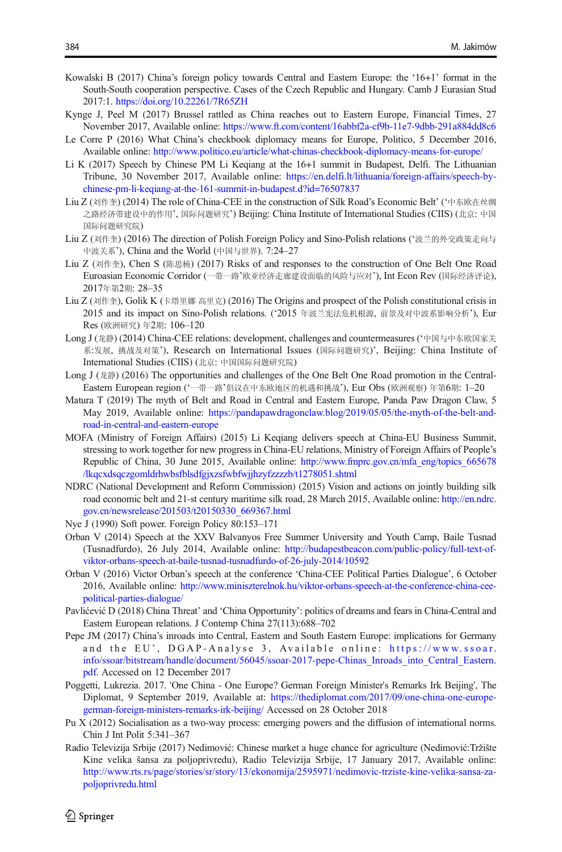- Kowalski B (2017) China's foreign policy towards Central and Eastern Europe: the '16+1' format in the South-South coo[peration perspective. Cases of the Czech Republic and Hungary. Camb J Eurasian S](http://www.politico.eu/article/what-chinas-checkbook-diplomacy-means-for-europe/)tud 2017:1. https://doi.org/10.22261/7R65ZH
- Kynge J, Peel M (2017) Brussel rattled as China r[eaches out to Eastern Europe, Financial Times, 27](https://en.delfi.lt/lithuania/foreign-affairs/speech-by-chinese-pm-li-keqiang-at-the-161-summit-in-budapest.d?id=76507837) [November 2017, Available online:](https://en.delfi.lt/lithuania/foreign-affairs/speech-by-chinese-pm-li-keqiang-at-the-161-summit-in-budapest.d?id=76507837) https://www.ft.com/content/16abbf2a-cf9b-11e7-9dbb-291a884dd8c6
- Le Corre P (2016) What China's checkbook diplomacy means for Europe, Politico, 5 December 2016, Available online: http://www.politico.eu/article/what-chinas-checkbook-diplomacy-means-for-europe/
- Li K (2017) Speech by Chinese PM Li Keqiang at the 16+1 summit in Budapest, Delfi. The Lithuanian Tribune, 30 November 2017, Available online: https://en.delfi.lt/lithuania/foreign-affairs/speech-bychinese-pm-li-keqiang-at-the-161-summit-in-budapest.d?id=76507837
- Liu Z (刘作奎) (2014) The role of China-CEE in the construction of Silk Road's Economic Belt' ('中东欧在丝绸 之路经济带建设中的作用', 国际问题研究') Beijing: China Institute of International Studies (CIIS) (北京: 中国 国际问题研究院)
- Liu Z (刘作奎) (2016) The direction of Polish Foreign Policy and Sino-Polish relations ('波兰的外交政策走向与 中波关系'), China and the World (中国与世界). 7:24–27
- Liu Z (刘作奎), Chen S (陈思杨) (2017) Risks of and responses to the construction of One Belt One Road Euroasian Economic Corridor (一带一路'欧亚经济走廊建设面临的风险与应对'), Int Econ Rev (国际经济评论), 2017年第2期: 28–35
- Liu Z (刘作奎), Golik K (卡塔里娜 高里克) (2016) The Origins and prospect of the Polish constitutional crisis in 2015 and its impact on Sino-Polish relations. ('2015 年波兰宪法危机根源, 前景及对中波系影响分析'), Eur Res (欧洲研究) 年2期: 106–120
- Long J (龙静) (2014) China-CEE relations: development, challenges and countermeasures ('中国与中东欧国家关 系:发展, 挑战及对策'), Research on International Issues (国际问题研究)'[,](https://pandapawdragonclaw.blog/2019/05/05/the-myth-of-the-belt-and-road-in-central-and-eastern-europe) [Beijing:](https://pandapawdragonclaw.blog/2019/05/05/the-myth-of-the-belt-and-road-in-central-and-eastern-europe) [China](https://pandapawdragonclaw.blog/2019/05/05/the-myth-of-the-belt-and-road-in-central-and-eastern-europe) [Institute](https://pandapawdragonclaw.blog/2019/05/05/the-myth-of-the-belt-and-road-in-central-and-eastern-europe) [of](https://pandapawdragonclaw.blog/2019/05/05/the-myth-of-the-belt-and-road-in-central-and-eastern-europe) [International](https://pandapawdragonclaw.blog/2019/05/05/the-myth-of-the-belt-and-road-in-central-and-eastern-europe) [Studies](https://pandapawdragonclaw.blog/2019/05/05/the-myth-of-the-belt-and-road-in-central-and-eastern-europe) [\(CIIS\)](https://pandapawdragonclaw.blog/2019/05/05/the-myth-of-the-belt-and-road-in-central-and-eastern-europe) [\(](https://pandapawdragonclaw.blog/2019/05/05/the-myth-of-the-belt-and-road-in-central-and-eastern-europe)北京: 中国国际问题研究院)
- Long J (龙静) (2016) The opportunities and challenges of the One Belt One Road promotion in the Central-Eastern European region ('一带一路'倡议在中东欧地区的机遇和挑战'), Eur Obs (欧洲观察) 年第6期: 1–20
- Mat[ura T \(2019\) The myth of Belt and Road in Central and Eastern Europe,](http://www.fmprc.gov.cn/mfa_eng/topics_665678/lkqcxdsqczgomldrhwbsfblsdfgjxzsfwbfwjjhzyfzzzzb/t1278051.shtml) [Panda](http://www.fmprc.gov.cn/mfa_eng/topics_665678/lkqcxdsqczgomldrhwbsfblsdfgjxzsfwbfwjjhzyfzzzzb/t1278051.shtml) [Paw](http://www.fmprc.gov.cn/mfa_eng/topics_665678/lkqcxdsqczgomldrhwbsfblsdfgjxzsfwbfwjjhzyfzzzzb/t1278051.shtml) [Dragon](http://www.fmprc.gov.cn/mfa_eng/topics_665678/lkqcxdsqczgomldrhwbsfblsdfgjxzsfwbfwjjhzyfzzzzb/t1278051.shtml) [Claw,](http://www.fmprc.gov.cn/mfa_eng/topics_665678/lkqcxdsqczgomldrhwbsfblsdfgjxzsfwbfwjjhzyfzzzzb/t1278051.shtml) [5](http://www.fmprc.gov.cn/mfa_eng/topics_665678/lkqcxdsqczgomldrhwbsfblsdfgjxzsfwbfwjjhzyfzzzzb/t1278051.shtml) May 2019, Available online: https://pandapawdragonclaw.blog/2019/05/05/the-myth-of-the-belt-androad-in-central-and-eastern-europe
- MO[FA \(Ministry of Foreign Affairs\) \(2015\) Li Keqian](http://en.ndrc.gov.cn/newsrelease/201503/t20150330_669367.html)g delivers speech at China-EU Busi[ness](http://en.ndrc.gov.cn/newsrelease/201503/t20150330_669367.html) [Summit,](http://en.ndrc.gov.cn/newsrelease/201503/t20150330_669367.html) stressing to work together for new progress in China-EU relations, Ministry of Foreign Affairs of People's Republic of China, 30 June 2015, Available online: http://www.fmprc.gov.cn/mfa\_eng/topics\_665678 /lkqcxdsqczgomldrhwbsfblsdfgjxzsfwbfwjjhzyfzzzzb/t1278051.shtml
- ND[RC \(National Development and Reform Commission\) \(2015\) Vision and](http://budapestbeacon.com/public-policy/full-text-of-viktor-orbans-speech-at-baile-tusnad-tusnadfurdo-of-26-july-2014/10592) [actions](http://budapestbeacon.com/public-policy/full-text-of-viktor-orbans-speech-at-baile-tusnad-tusnadfurdo-of-26-july-2014/10592) [on](http://budapestbeacon.com/public-policy/full-text-of-viktor-orbans-speech-at-baile-tusnad-tusnadfurdo-of-26-july-2014/10592) [jointly](http://budapestbeacon.com/public-policy/full-text-of-viktor-orbans-speech-at-baile-tusnad-tusnadfurdo-of-26-july-2014/10592) [building](http://budapestbeacon.com/public-policy/full-text-of-viktor-orbans-speech-at-baile-tusnad-tusnadfurdo-of-26-july-2014/10592) [silk](http://budapestbeacon.com/public-policy/full-text-of-viktor-orbans-speech-at-baile-tusnad-tusnadfurdo-of-26-july-2014/10592) road economic belt and 21-st century maritime silk road, 28 March 2015, Available online: http://en.ndrc. gov.cn/newsrelease/201[503/t20150330\\_669367.html](http://www.miniszterelnok.hu/viktor-orbans-speech-at-the-conference-china-cee-political-parties-dialogue/)
- Nye [J \(1990\) Soft power. For](http://www.miniszterelnok.hu/viktor-orbans-speech-at-the-conference-china-cee-political-parties-dialogue/)eign Policy 80:153–171
- Orban V (2014) Speech at the XXV Balvanyos Free Summer University and Youth Camp, Baile Tusnad (Tusnadfurdo), 26 July 2014, Available online: http://budapestbeacon.com/public-policy/full-text-ofviktor-orbans-speech-at-baile-tusnad-tusnadfurdo-of-26-july-2014/10592
- Orban V (2016) Victor Orban's speech at the conference 'China-CEE Political P[arties Dialogue](https://www.ssoar.info/ssoar/bitstream/handle/document/56045/ssoar-2017-pepe-Chinas_Inroads_into_Central_Eastern.pdf)', 6 October 2016, Available online: [http://www.miniszterelnok.hu/viktor-orbans-speech-at-the-conference-china-cee](https://www.ssoar.info/ssoar/bitstream/handle/document/56045/ssoar-2017-pepe-Chinas_Inroads_into_Central_Eastern.pdf)political-parties-dialogue/
- Pavlićević D (2018) China Threat' and 'China Opportunity': politics of dreams and fears in China-Central and Eastern European relations. J Contemp China 27(113):688–702
- Pepe JM (2017) China's inroads into Central, Eastern and South Eastern Europe: implications for Germany and the EU'[, DGAP-Analyse 3, Available online:](http://www.rts.rs/page/stories/sr/story/13/ekonomija/2595971/nedimovic-trziste-kine-velika-sansa-za-poljoprivredu.html) https://www.ssoar. [info/ssoar/bitstream](http://www.rts.rs/page/stories/sr/story/13/ekonomija/2595971/nedimovic-trziste-kine-velika-sansa-za-poljoprivredu.html)/handle/document/56045/ssoar-2017-pepe-Chinas\_Inroads\_into\_Central\_Eastern. pdf. Accessed on 12 December 2017
- Pog[getti, Lukrezia. 2017. 'One China One Europe? German Forei](https://uk.reuters.com/article/uk-eu-un-rights-idUKKBN1990G0)gn Minister's Remarks Irk Beijing', The Diplomat, 9 September 2019, Available at: https://thediplomat.com/2017/09/one-china-one-europegerman-foreign-ministers-remarks-irk-beijing/ Accessed on 28 Octo[ber 2018](http://euroasia.cass.cn/news/730287.htm)
- Pu [X \(20](http://euroasia.cass.cn/news/730287.htm)12) Socialisation as a two-way process: emerging powers and the diffusion of international norms. Chin J Int Polit 5:341–367
- Radio Televizija Srbije (2017) Nedimović[: Chinese market a huge chance for agriculture \(Nedimovi](http://www.asian.sk/en/chinese-media-watch-dalai-lama-visits-central-europe/)ć:Tržište [Kine v](http://www.asian.sk/en/chinese-media-watch-dalai-lama-visits-central-europe/)elika šansa za poljoprivredu), Radio Televizija Srbije, 17 January 2017, Available online: http://www.rts.rs/page/stories/sr/story/13/ekonomija/2595971/nedimovic-trziste-kine-velika-sansa-za[poljoprivredu.html](http://carnegietsinghua.org/2016/03/15/china-eu-relations-crisis-and-opportunity-pub-63049)